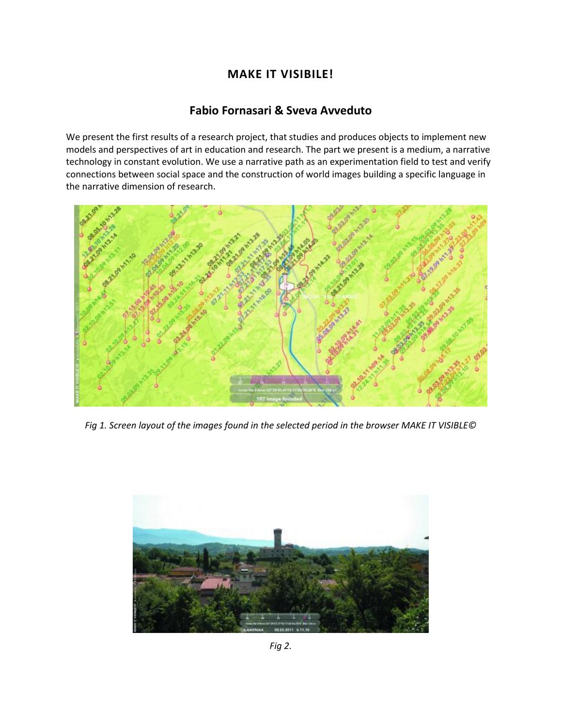## **MAKE IT VISIBILE!**

## **[Fabio Fornasari](http://isea2011.sabanciuniv.edu/-509.html) & [Sveva Avveduto](http://isea2011.sabanciuniv.edu/dr-97.html)**

We present the first results of a research project, that studies and produces objects to implement new models and perspectives of art in education and research. The part we present is a medium, a narrative technology in constant evolution. We use a narrative path as an experimentation field to test and verify connections between social space and the construction of world images building a specific language in the narrative dimension of research.



*Fig 1. Screen layout of the images found in the selected period in the browser MAKE IT VISIBLE©* 



*Fig 2.*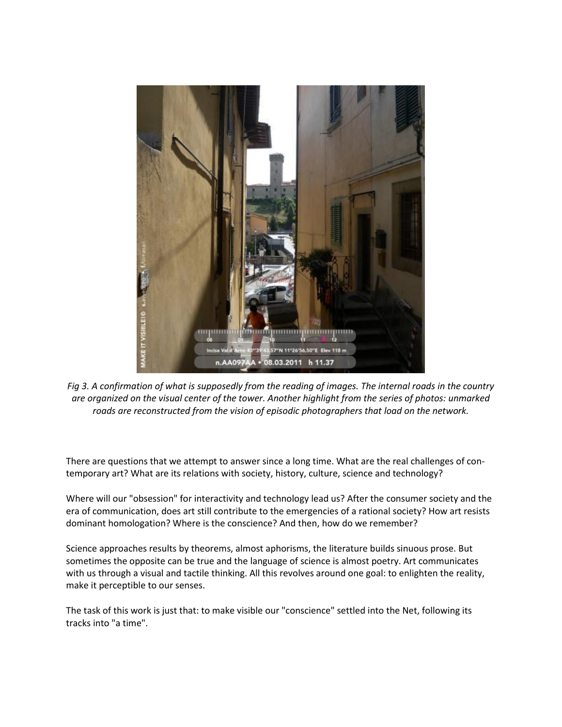

*Fig 3. A confirmation of what is supposedly from the reading of images. The internal roads in the country are organized on the visual center of the tower. Another highlight from the series of photos: unmarked roads are reconstructed from the vision of episodic photographers that load on the network.*

There are questions that we attempt to answer since a long time. What are the real challenges of contemporary art? What are its relations with society, history, culture, science and technology?

Where will our "obsession" for interactivity and technology lead us? After the consumer society and the era of communication, does art still contribute to the emergencies of a rational society? How art resists dominant homologation? Where is the conscience? And then, how do we remember?

Science approaches results by theorems, almost aphorisms, the literature builds sinuous prose. But sometimes the opposite can be true and the language of science is almost poetry. Art communicates with us through a visual and tactile thinking. All this revolves around one goal: to enlighten the reality, make it perceptible to our senses.

The task of this work is just that: to make visible our "conscience" settled into the Net, following its tracks into "a time".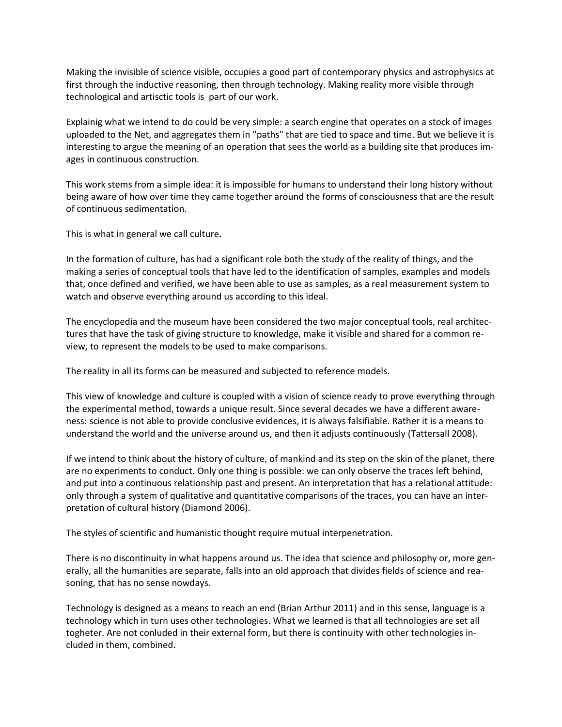Making the invisible of science visible, occupies a good part of contemporary physics and astrophysics at first through the inductive reasoning, then through technology. Making reality more visible through technological and artisctic tools is part of our work.

Explainig what we intend to do could be very simple: a search engine that operates on a stock of images uploaded to the Net, and aggregates them in "paths" that are tied to space and time. But we believe it is interesting to argue the meaning of an operation that sees the world as a building site that produces images in continuous construction.

This work stems from a simple idea: it is impossible for humans to understand their long history without being aware of how over time they came together around the forms of consciousness that are the result of continuous sedimentation.

This is what in general we call culture.

In the formation of culture, has had a significant role both the study of the reality of things, and the making a series of conceptual tools that have led to the identification of samples, examples and models that, once defined and verified, we have been able to use as samples, as a real measurement system to watch and observe everything around us according to this ideal.

The encyclopedia and the museum have been considered the two major conceptual tools, real architectures that have the task of giving structure to knowledge, make it visible and shared for a common review, to represent the models to be used to make comparisons.

The reality in all its forms can be measured and subjected to reference models.

This view of knowledge and culture is coupled with a vision of science ready to prove everything through the experimental method, towards a unique result. Since several decades we have a different awareness: science is not able to provide conclusive evidences, it is always falsifiable. Rather it is a means to understand the world and the universe around us, and then it adjusts continuously (Tattersall 2008).

If we intend to think about the history of culture, of mankind and its step on the skin of the planet, there are no experiments to conduct. Only one thing is possible: we can only observe the traces left behind, and put into a continuous relationship past and present. An interpretation that has a relational attitude: only through a system of qualitative and quantitative comparisons of the traces, you can have an interpretation of cultural history (Diamond 2006).

The styles of scientific and humanistic thought require mutual interpenetration.

There is no discontinuity in what happens around us. The idea that science and philosophy or, more generally, all the humanities are separate, falls into an old approach that divides fields of science and reasoning, that has no sense nowdays.

Technology is designed as a means to reach an end (Brian Arthur 2011) and in this sense, language is a technology which in turn uses other technologies. What we learned is that all technologies are set all togheter. Are not conluded in their external form, but there is continuity with other technologies included in them, combined.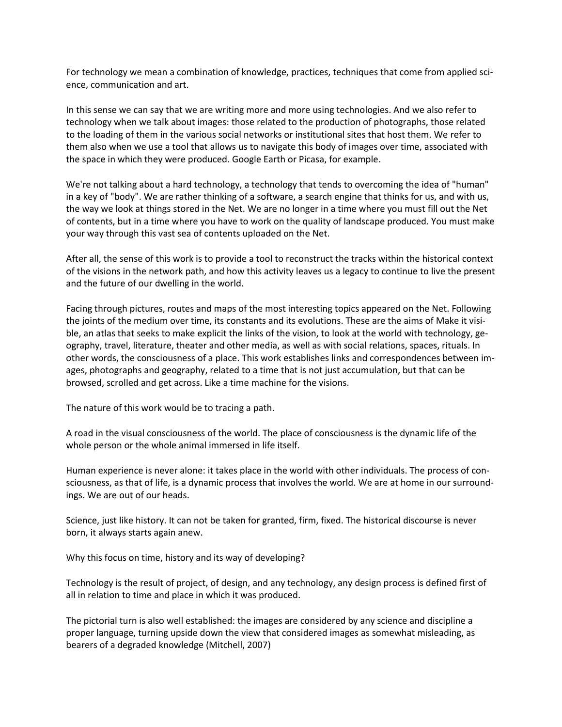For technology we mean a combination of knowledge, practices, techniques that come from applied science, communication and art.

In this sense we can say that we are writing more and more using technologies. And we also refer to technology when we talk about images: those related to the production of photographs, those related to the loading of them in the various social networks or institutional sites that host them. We refer to them also when we use a tool that allows us to navigate this body of images over time, associated with the space in which they were produced. Google Earth or Picasa, for example.

We're not talking about a hard technology, a technology that tends to overcoming the idea of "human" in a key of "body". We are rather thinking of a software, a search engine that thinks for us, and with us, the way we look at things stored in the Net. We are no longer in a time where you must fill out the Net of contents, but in a time where you have to work on the quality of landscape produced. You must make your way through this vast sea of contents uploaded on the Net.

After all, the sense of this work is to provide a tool to reconstruct the tracks within the historical context of the visions in the network path, and how this activity leaves us a legacy to continue to live the present and the future of our dwelling in the world.

Facing through pictures, routes and maps of the most interesting topics appeared on the Net. Following the joints of the medium over time, its constants and its evolutions. These are the aims of Make it visible, an atlas that seeks to make explicit the links of the vision, to look at the world with technology, geography, travel, literature, theater and other media, as well as with social relations, spaces, rituals. In other words, the consciousness of a place. This work establishes links and correspondences between images, photographs and geography, related to a time that is not just accumulation, but that can be browsed, scrolled and get across. Like a time machine for the visions.

The nature of this work would be to tracing a path.

A road in the visual consciousness of the world. The place of consciousness is the dynamic life of the whole person or the whole animal immersed in life itself.

Human experience is never alone: it takes place in the world with other individuals. The process of consciousness, as that of life, is a dynamic process that involves the world. We are at home in our surroundings. We are out of our heads.

Science, just like history. It can not be taken for granted, firm, fixed. The historical discourse is never born, it always starts again anew.

Why this focus on time, history and its way of developing?

Technology is the result of project, of design, and any technology, any design process is defined first of all in relation to time and place in which it was produced.

The pictorial turn is also well established: the images are considered by any science and discipline a proper language, turning upside down the view that considered images as somewhat misleading, as bearers of a degraded knowledge (Mitchell, 2007)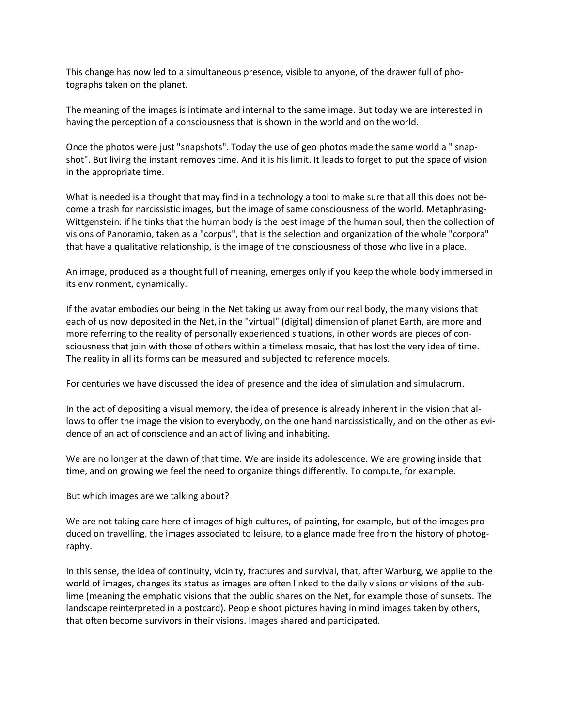This change has now led to a simultaneous presence, visible to anyone, of the drawer full of photographs taken on the planet.

The meaning of the images is intimate and internal to the same image. But today we are interested in having the perception of a consciousness that is shown in the world and on the world.

Once the photos were just "snapshots". Today the use of geo photos made the same world a " snapshot". But living the instant removes time. And it is his limit. It leads to forget to put the space of vision in the appropriate time.

What is needed is a thought that may find in a technology a tool to make sure that all this does not become a trash for narcissistic images, but the image of same consciousness of the world. Metaphrasing-Wittgenstein: if he tinks that the human body is the best image of the human soul, then the collection of visions of Panoramio, taken as a "corpus", that is the selection and organization of the whole "corpora" that have a qualitative relationship, is the image of the consciousness of those who live in a place.

An image, produced as a thought full of meaning, emerges only if you keep the whole body immersed in its environment, dynamically.

If the avatar embodies our being in the Net taking us away from our real body, the many visions that each of us now deposited in the Net, in the "virtual" (digital) dimension of planet Earth, are more and more referring to the reality of personally experienced situations, in other words are pieces of consciousness that join with those of others within a timeless mosaic, that has lost the very idea of time. The reality in all its forms can be measured and subjected to reference models.

For centuries we have discussed the idea of presence and the idea of simulation and simulacrum.

In the act of depositing a visual memory, the idea of presence is already inherent in the vision that allows to offer the image the vision to everybody, on the one hand narcissistically, and on the other as evidence of an act of conscience and an act of living and inhabiting.

We are no longer at the dawn of that time. We are inside its adolescence. We are growing inside that time, and on growing we feel the need to organize things differently. To compute, for example.

But which images are we talking about?

We are not taking care here of images of high cultures, of painting, for example, but of the images produced on travelling, the images associated to leisure, to a glance made free from the history of photography.

In this sense, the idea of continuity, vicinity, fractures and survival, that, after Warburg, we applie to the world of images, changes its status as images are often linked to the daily visions or visions of the sublime (meaning the emphatic visions that the public shares on the Net, for example those of sunsets. The landscape reinterpreted in a postcard). People shoot pictures having in mind images taken by others, that often become survivors in their visions. Images shared and participated.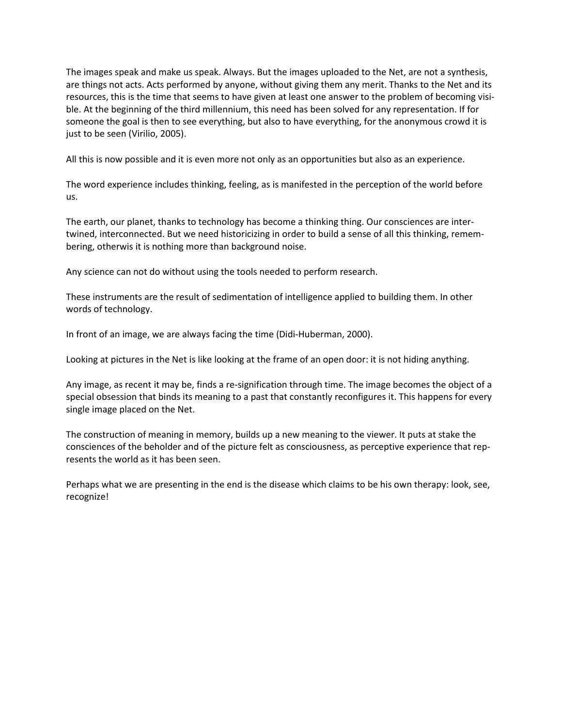The images speak and make us speak. Always. But the images uploaded to the Net, are not a synthesis, are things not acts. Acts performed by anyone, without giving them any merit. Thanks to the Net and its resources, this is the time that seems to have given at least one answer to the problem of becoming visible. At the beginning of the third millennium, this need has been solved for any representation. If for someone the goal is then to see everything, but also to have everything, for the anonymous crowd it is just to be seen (Virilio, 2005).

All this is now possible and it is even more not only as an opportunities but also as an experience.

The word experience includes thinking, feeling, as is manifested in the perception of the world before us.

The earth, our planet, thanks to technology has become a thinking thing. Our consciences are intertwined, interconnected. But we need historicizing in order to build a sense of all this thinking, remembering, otherwis it is nothing more than background noise.

Any science can not do without using the tools needed to perform research.

These instruments are the result of sedimentation of intelligence applied to building them. In other words of technology.

In front of an image, we are always facing the time (Didi-Huberman, 2000).

Looking at pictures in the Net is like looking at the frame of an open door: it is not hiding anything.

Any image, as recent it may be, finds a re-signification through time. The image becomes the object of a special obsession that binds its meaning to a past that constantly reconfigures it. This happens for every single image placed on the Net.

The construction of meaning in memory, builds up a new meaning to the viewer. It puts at stake the consciences of the beholder and of the picture felt as consciousness, as perceptive experience that represents the world as it has been seen.

Perhaps what we are presenting in the end is the disease which claims to be his own therapy: look, see, recognize!